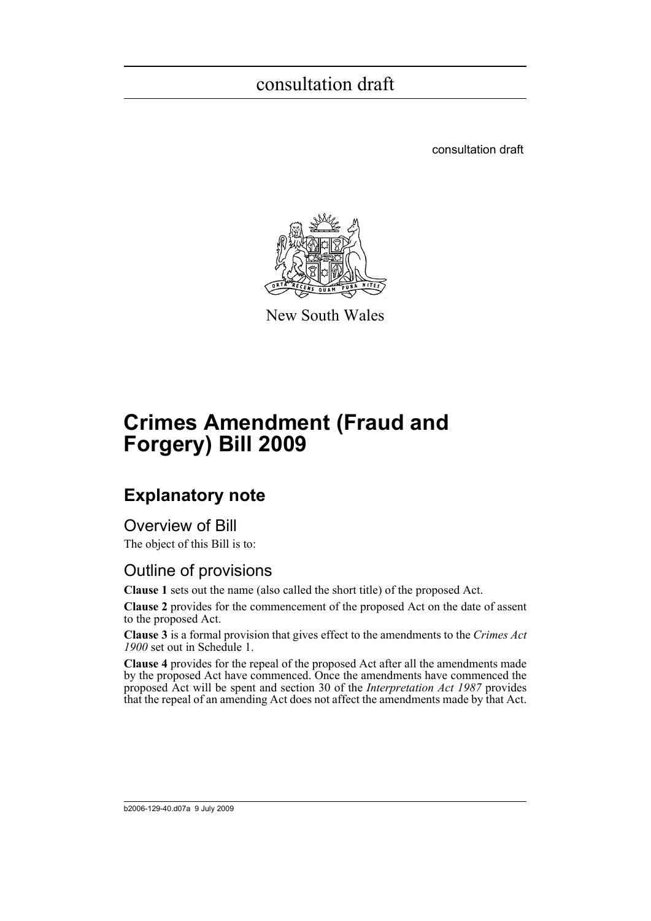consultation draft



New South Wales

# **Crimes Amendment (Fraud and Forgery) Bill 2009**

## **Explanatory note**

Overview of Bill

The object of this Bill is to:

## Outline of provisions

**Clause 1** sets out the name (also called the short title) of the proposed Act.

**Clause 2** provides for the commencement of the proposed Act on the date of assent to the proposed Act.

**Clause 3** is a formal provision that gives effect to the amendments to the *Crimes Act 1900* set out in Schedule 1.

**Clause 4** provides for the repeal of the proposed Act after all the amendments made by the proposed Act have commenced. Once the amendments have commenced the proposed Act will be spent and section 30 of the *Interpretation Act 1987* provides that the repeal of an amending Act does not affect the amendments made by that Act.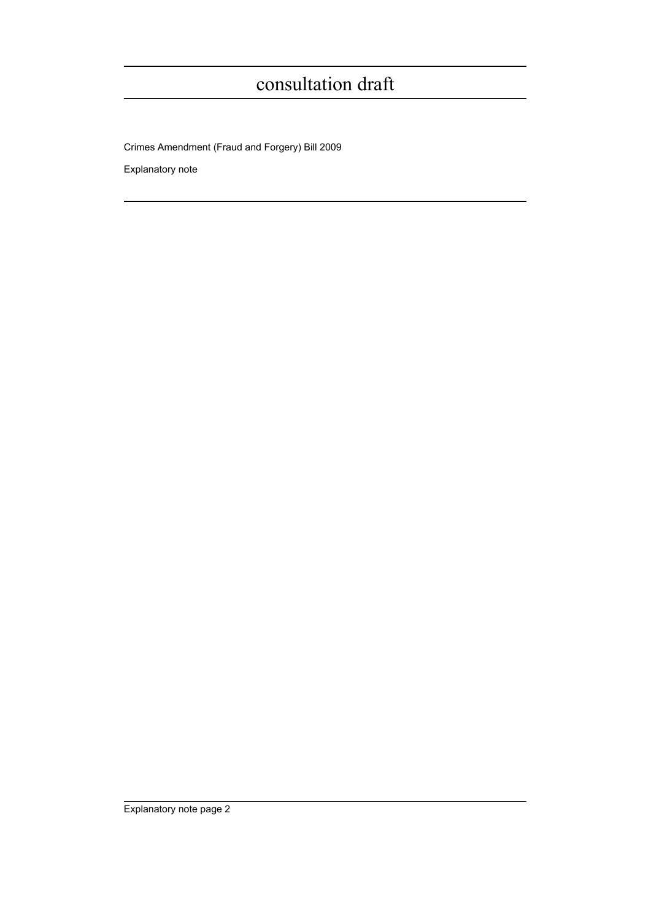Crimes Amendment (Fraud and Forgery) Bill 2009

Explanatory note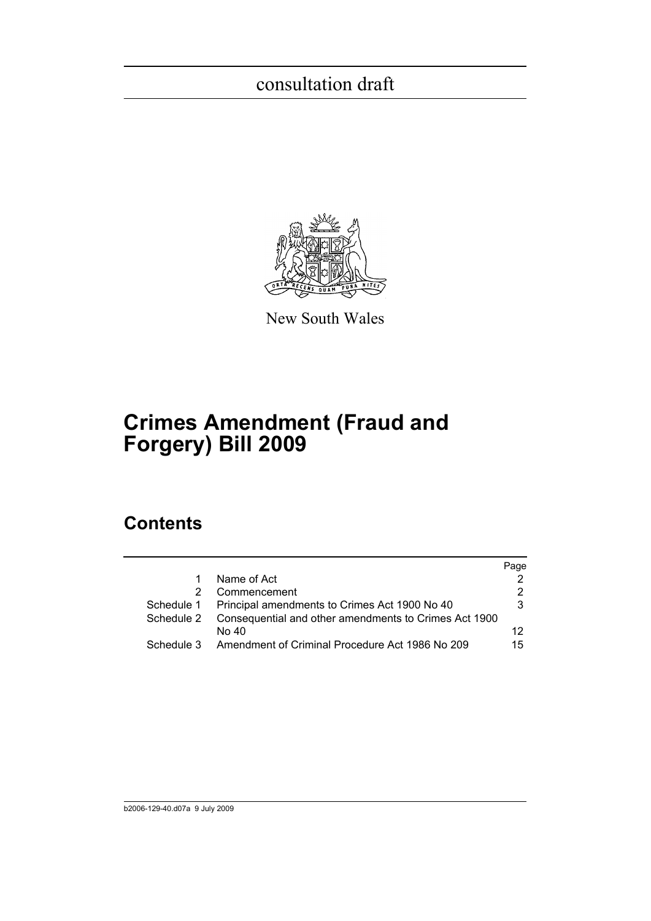

New South Wales

# **Crimes Amendment (Fraud and Forgery) Bill 2009**

## **Contents**

|   |                                                                  | Page |
|---|------------------------------------------------------------------|------|
| 1 | Name of Act                                                      |      |
| 2 | Commencement                                                     | 2.   |
|   | Schedule 1 Principal amendments to Crimes Act 1900 No 40         | 3    |
|   | Schedule 2 Consequential and other amendments to Crimes Act 1900 |      |
|   | No 40                                                            | 12   |
|   | Schedule 3 Amendment of Criminal Procedure Act 1986 No 209       | 15   |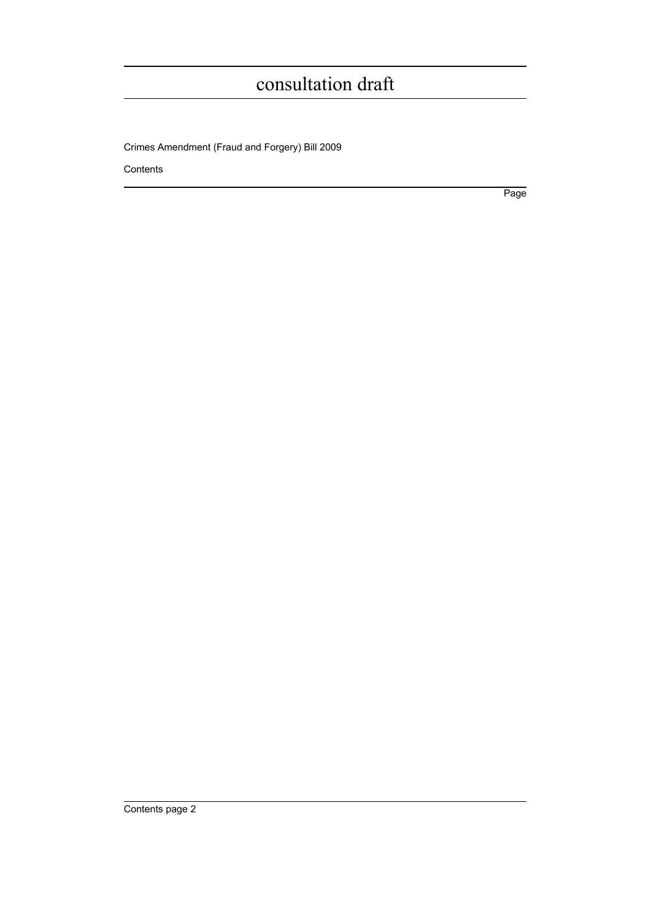Crimes Amendment (Fraud and Forgery) Bill 2009

Contents

Page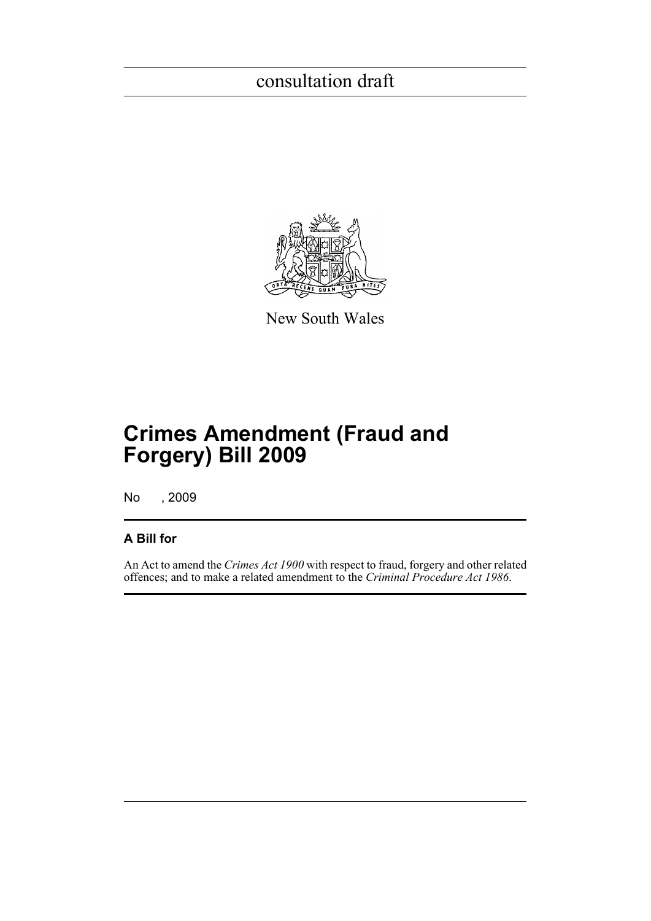

New South Wales

# **Crimes Amendment (Fraud and Forgery) Bill 2009**

No , 2009

### **A Bill for**

An Act to amend the *Crimes Act 1900* with respect to fraud, forgery and other related offences; and to make a related amendment to the *Criminal Procedure Act 1986*.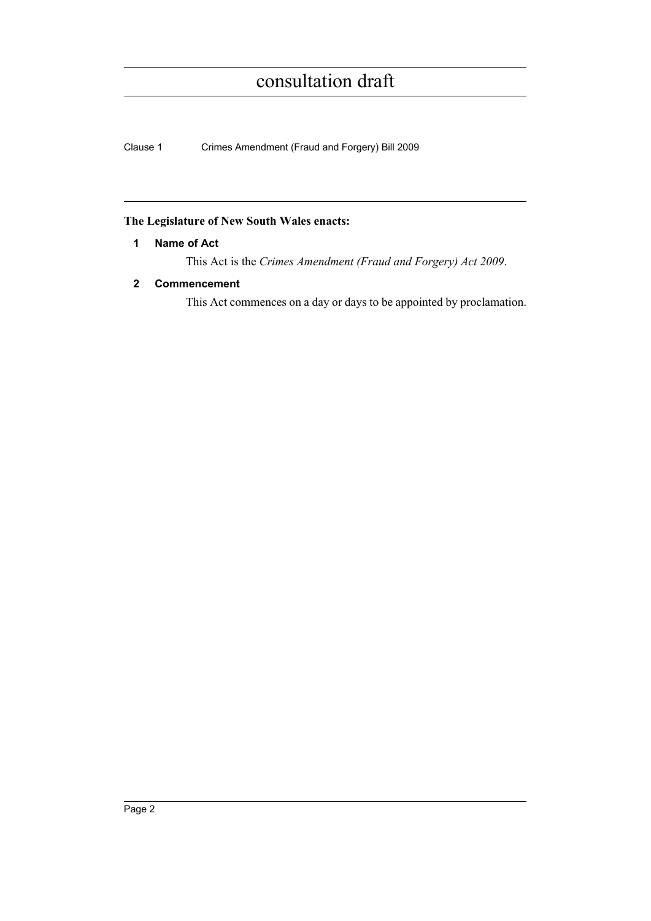Clause 1 Crimes Amendment (Fraud and Forgery) Bill 2009

#### <span id="page-5-0"></span>**The Legislature of New South Wales enacts:**

#### **1 Name of Act**

This Act is the *Crimes Amendment (Fraud and Forgery) Act 2009*.

#### <span id="page-5-1"></span>**2 Commencement**

This Act commences on a day or days to be appointed by proclamation.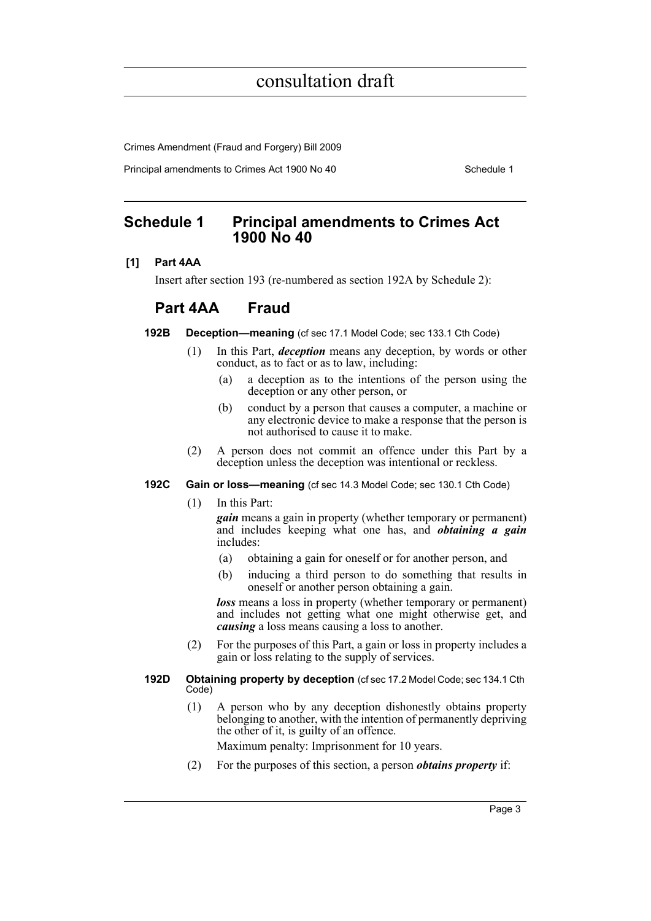Crimes Amendment (Fraud and Forgery) Bill 2009

Principal amendments to Crimes Act 1900 No 40 Schedule 1

### <span id="page-6-0"></span>**Schedule 1 Principal amendments to Crimes Act 1900 No 40**

#### **[1] Part 4AA**

Insert after section 193 (re-numbered as section 192A by Schedule 2):

### **Part 4AA Fraud**

- **192B Deception—meaning** (cf sec 17.1 Model Code; sec 133.1 Cth Code)
	- (1) In this Part, *deception* means any deception, by words or other conduct, as to fact or as to law, including:
		- (a) a deception as to the intentions of the person using the deception or any other person, or
		- (b) conduct by a person that causes a computer, a machine or any electronic device to make a response that the person is not authorised to cause it to make.
	- (2) A person does not commit an offence under this Part by a deception unless the deception was intentional or reckless.
- **192C Gain or loss—meaning** (cf sec 14.3 Model Code; sec 130.1 Cth Code)
	- (1) In this Part:

*gain* means a gain in property (whether temporary or permanent) and includes keeping what one has, and *obtaining a gain* includes:

- (a) obtaining a gain for oneself or for another person, and
- (b) inducing a third person to do something that results in oneself or another person obtaining a gain.

*loss* means a loss in property (whether temporary or permanent) and includes not getting what one might otherwise get, and *causing* a loss means causing a loss to another.

(2) For the purposes of this Part, a gain or loss in property includes a gain or loss relating to the supply of services.

#### **192D Obtaining property by deception** (cf sec 17.2 Model Code; sec 134.1 Cth Code)

(1) A person who by any deception dishonestly obtains property belonging to another, with the intention of permanently depriving the other of it, is guilty of an offence.

Maximum penalty: Imprisonment for 10 years.

(2) For the purposes of this section, a person *obtains property* if: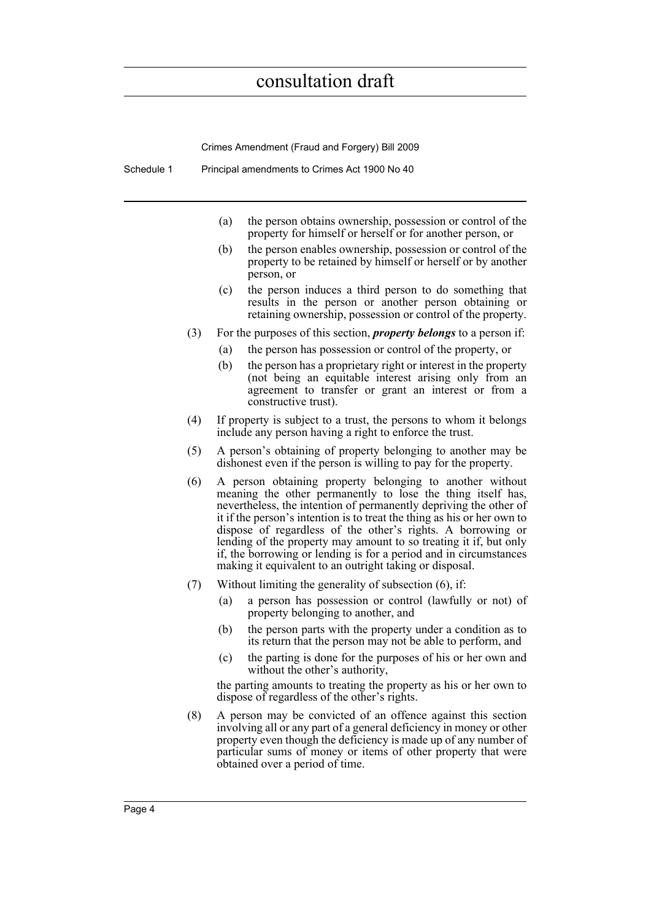Crimes Amendment (Fraud and Forgery) Bill 2009

- Schedule 1 Principal amendments to Crimes Act 1900 No 40
	- (a) the person obtains ownership, possession or control of the property for himself or herself or for another person, or
	- (b) the person enables ownership, possession or control of the property to be retained by himself or herself or by another person, or
	- (c) the person induces a third person to do something that results in the person or another person obtaining or retaining ownership, possession or control of the property.
	- (3) For the purposes of this section, *property belongs* to a person if:
		- (a) the person has possession or control of the property, or
		- (b) the person has a proprietary right or interest in the property (not being an equitable interest arising only from an agreement to transfer or grant an interest or from a constructive trust).
	- (4) If property is subject to a trust, the persons to whom it belongs include any person having a right to enforce the trust.
	- (5) A person's obtaining of property belonging to another may be dishonest even if the person is willing to pay for the property.
	- (6) A person obtaining property belonging to another without meaning the other permanently to lose the thing itself has, nevertheless, the intention of permanently depriving the other of it if the person's intention is to treat the thing as his or her own to dispose of regardless of the other's rights. A borrowing or lending of the property may amount to so treating it if, but only if, the borrowing or lending is for a period and in circumstances making it equivalent to an outright taking or disposal.
	- (7) Without limiting the generality of subsection (6), if:
		- (a) a person has possession or control (lawfully or not) of property belonging to another, and
		- (b) the person parts with the property under a condition as to its return that the person may not be able to perform, and
		- (c) the parting is done for the purposes of his or her own and without the other's authority,

the parting amounts to treating the property as his or her own to dispose of regardless of the other's rights.

(8) A person may be convicted of an offence against this section involving all or any part of a general deficiency in money or other property even though the deficiency is made up of any number of particular sums of money or items of other property that were obtained over a period of time.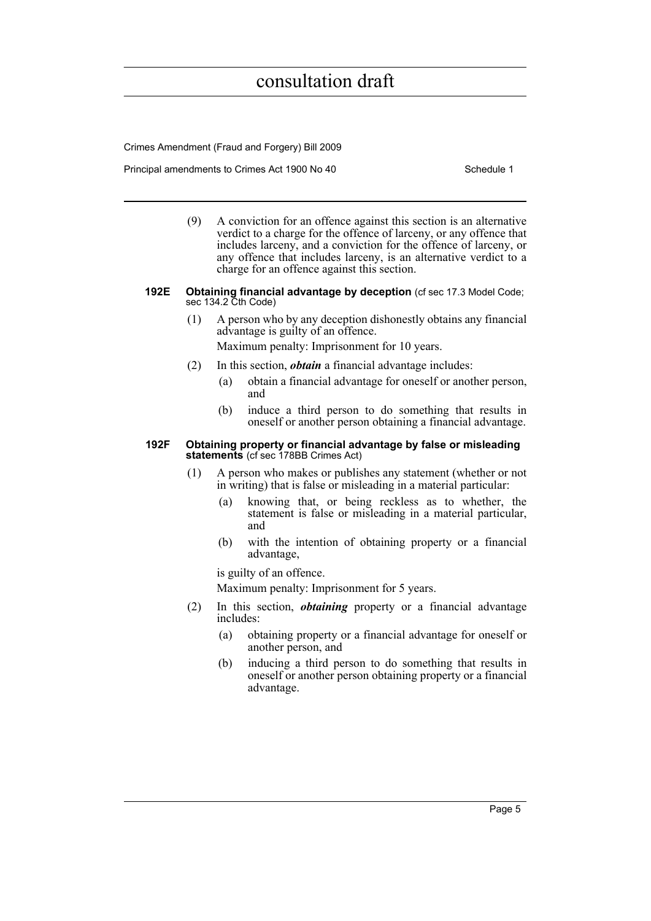Crimes Amendment (Fraud and Forgery) Bill 2009

Principal amendments to Crimes Act 1900 No 40 Schedule 1

- (9) A conviction for an offence against this section is an alternative verdict to a charge for the offence of larceny, or any offence that includes larceny, and a conviction for the offence of larceny, or any offence that includes larceny, is an alternative verdict to a charge for an offence against this section.
- **192E Obtaining financial advantage by deception** (cf sec 17.3 Model Code; sec 134.2 Cth Code)
	- (1) A person who by any deception dishonestly obtains any financial advantage is guilty of an offence.

Maximum penalty: Imprisonment for 10 years.

- (2) In this section, *obtain* a financial advantage includes:
	- (a) obtain a financial advantage for oneself or another person, and
	- (b) induce a third person to do something that results in oneself or another person obtaining a financial advantage.

#### **192F Obtaining property or financial advantage by false or misleading statements** (cf sec 178BB Crimes Act)

- (1) A person who makes or publishes any statement (whether or not in writing) that is false or misleading in a material particular:
	- (a) knowing that, or being reckless as to whether, the statement is false or misleading in a material particular, and
	- (b) with the intention of obtaining property or a financial advantage,

is guilty of an offence.

Maximum penalty: Imprisonment for 5 years.

- (2) In this section, *obtaining* property or a financial advantage includes:
	- (a) obtaining property or a financial advantage for oneself or another person, and
	- (b) inducing a third person to do something that results in oneself or another person obtaining property or a financial advantage.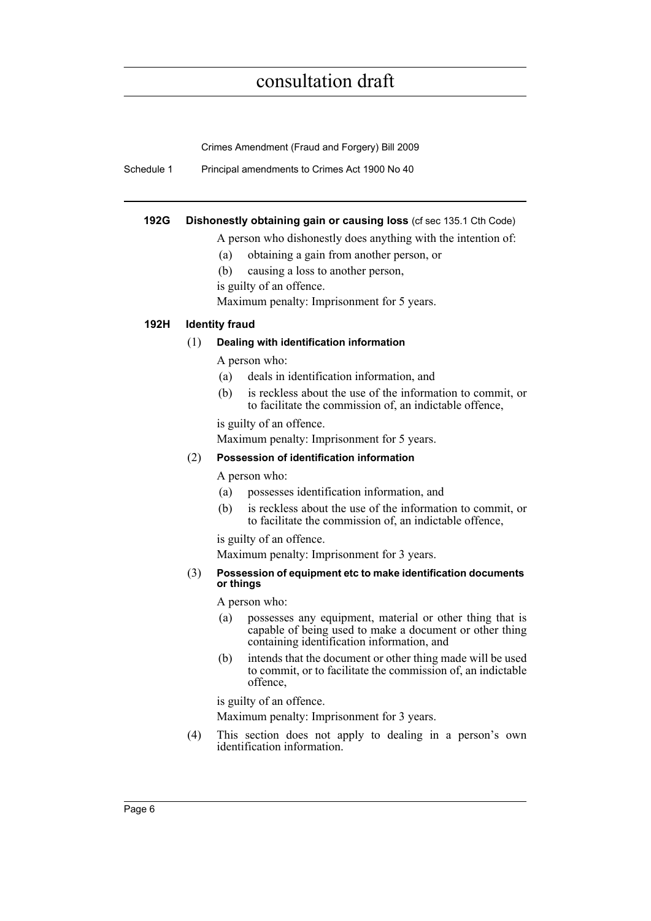Crimes Amendment (Fraud and Forgery) Bill 2009

Schedule 1 Principal amendments to Crimes Act 1900 No 40

**192G Dishonestly obtaining gain or causing loss** (cf sec 135.1 Cth Code)

A person who dishonestly does anything with the intention of:

- (a) obtaining a gain from another person, or
- (b) causing a loss to another person,

is guilty of an offence.

Maximum penalty: Imprisonment for 5 years.

#### **192H Identity fraud**

#### (1) **Dealing with identification information**

A person who:

- (a) deals in identification information, and
- (b) is reckless about the use of the information to commit, or to facilitate the commission of, an indictable offence,

is guilty of an offence.

Maximum penalty: Imprisonment for 5 years.

#### (2) **Possession of identification information**

A person who:

- (a) possesses identification information, and
- (b) is reckless about the use of the information to commit, or to facilitate the commission of, an indictable offence,

is guilty of an offence.

Maximum penalty: Imprisonment for 3 years.

(3) **Possession of equipment etc to make identification documents or things**

A person who:

- (a) possesses any equipment, material or other thing that is capable of being used to make a document or other thing containing identification information, and
- (b) intends that the document or other thing made will be used to commit, or to facilitate the commission of, an indictable offence,

is guilty of an offence.

Maximum penalty: Imprisonment for 3 years.

(4) This section does not apply to dealing in a person's own identification information.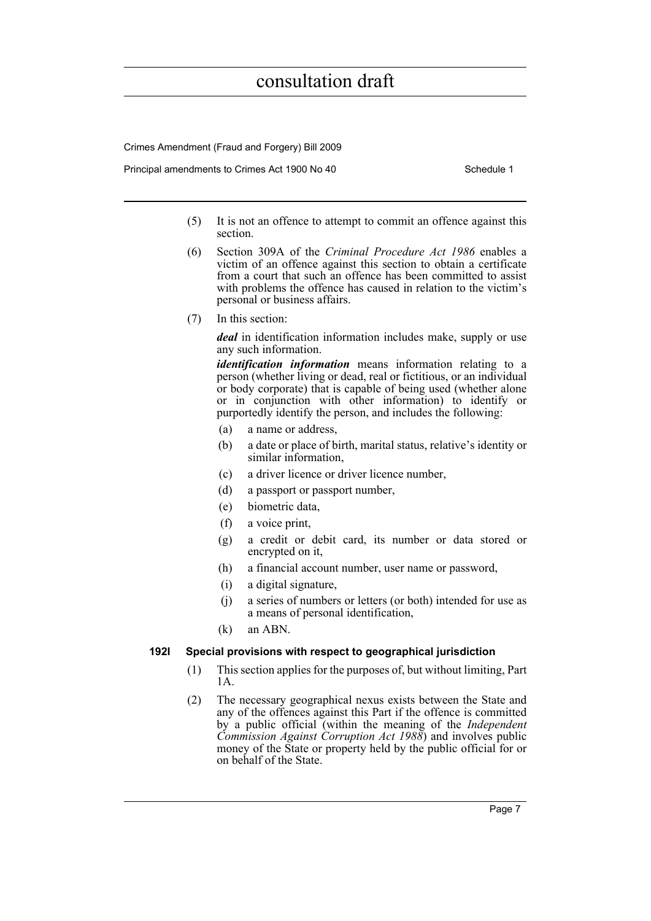Crimes Amendment (Fraud and Forgery) Bill 2009

Principal amendments to Crimes Act 1900 No 40 Schedule 1

- (5) It is not an offence to attempt to commit an offence against this section.
- (6) Section 309A of the *Criminal Procedure Act 1986* enables a victim of an offence against this section to obtain a certificate from a court that such an offence has been committed to assist with problems the offence has caused in relation to the victim's personal or business affairs.
- (7) In this section:

*deal* in identification information includes make, supply or use any such information.

*identification information* means information relating to a person (whether living or dead, real or fictitious, or an individual or body corporate) that is capable of being used (whether alone or in conjunction with other information) to identify or purportedly identify the person, and includes the following:

- (a) a name or address,
- (b) a date or place of birth, marital status, relative's identity or similar information,
- (c) a driver licence or driver licence number,
- (d) a passport or passport number,
- (e) biometric data,
- (f) a voice print,
- (g) a credit or debit card, its number or data stored or encrypted on it,
- (h) a financial account number, user name or password,
- (i) a digital signature,
- (j) a series of numbers or letters (or both) intended for use as a means of personal identification,
- (k) an ABN.

#### **192I Special provisions with respect to geographical jurisdiction**

- (1) This section applies for the purposes of, but without limiting, Part 1A.
- (2) The necessary geographical nexus exists between the State and any of the offences against this Part if the offence is committed by a public official (within the meaning of the *Independent Commission Against Corruption Act 1988*) and involves public money of the State or property held by the public official for or on behalf of the State.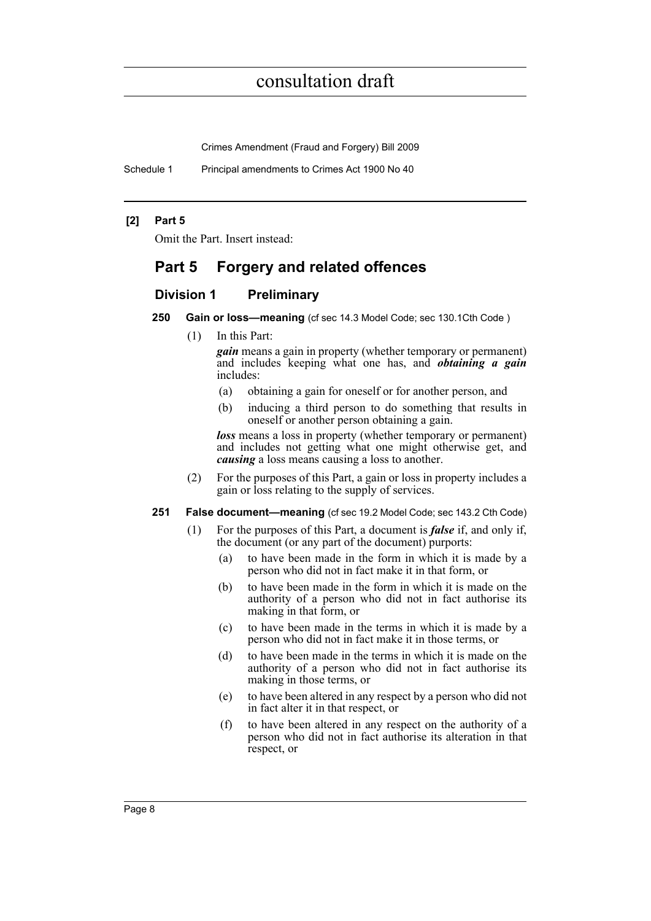Crimes Amendment (Fraud and Forgery) Bill 2009

Schedule 1 Principal amendments to Crimes Act 1900 No 40

#### **[2] Part 5**

Omit the Part. Insert instead:

### **Part 5 Forgery and related offences**

#### **Division 1 Preliminary**

- **250 Gain or loss—meaning** (cf sec 14.3 Model Code; sec 130.1Cth Code )
	- (1) In this Part:

*gain* means a gain in property (whether temporary or permanent) and includes keeping what one has, and *obtaining a gain* includes:

- (a) obtaining a gain for oneself or for another person, and
- (b) inducing a third person to do something that results in oneself or another person obtaining a gain.

*loss* means a loss in property (whether temporary or permanent) and includes not getting what one might otherwise get, and *causing* a loss means causing a loss to another.

(2) For the purposes of this Part, a gain or loss in property includes a gain or loss relating to the supply of services.

#### **251 False document—meaning** (cf sec 19.2 Model Code; sec 143.2 Cth Code)

- (1) For the purposes of this Part, a document is *false* if, and only if, the document (or any part of the document) purports:
	- (a) to have been made in the form in which it is made by a person who did not in fact make it in that form, or
	- (b) to have been made in the form in which it is made on the authority of a person who did not in fact authorise its making in that form, or
	- (c) to have been made in the terms in which it is made by a person who did not in fact make it in those terms, or
	- (d) to have been made in the terms in which it is made on the authority of a person who did not in fact authorise its making in those terms, or
	- (e) to have been altered in any respect by a person who did not in fact alter it in that respect, or
	- (f) to have been altered in any respect on the authority of a person who did not in fact authorise its alteration in that respect, or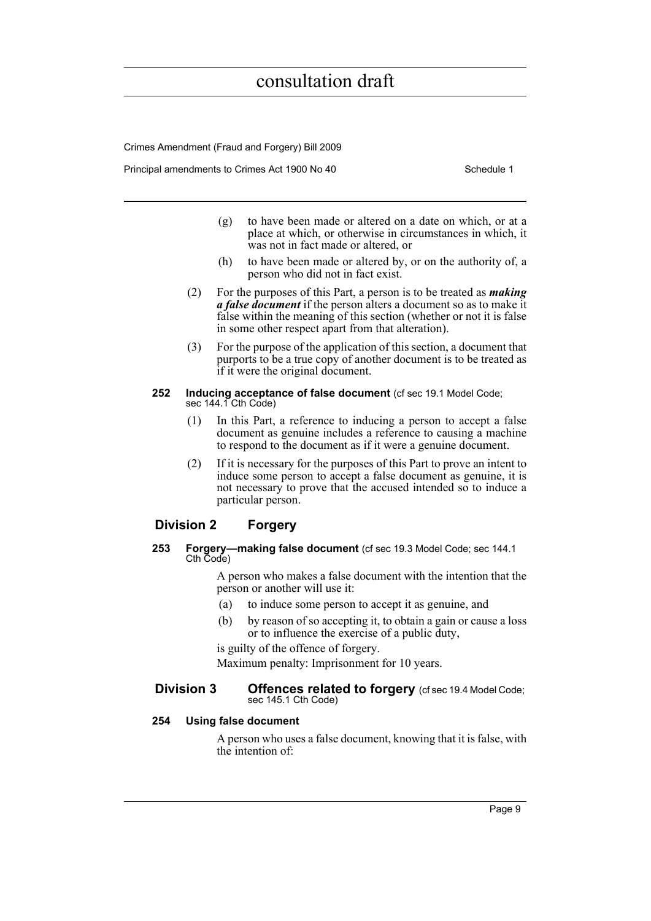Crimes Amendment (Fraud and Forgery) Bill 2009

Principal amendments to Crimes Act 1900 No 40 Schedule 1

- (g) to have been made or altered on a date on which, or at a place at which, or otherwise in circumstances in which, it was not in fact made or altered, or
- (h) to have been made or altered by, or on the authority of, a person who did not in fact exist.
- (2) For the purposes of this Part, a person is to be treated as *making a false document* if the person alters a document so as to make it false within the meaning of this section (whether or not it is false in some other respect apart from that alteration).
- (3) For the purpose of the application of this section, a document that purports to be a true copy of another document is to be treated as if it were the original document.

#### **252 Inducing acceptance of false document** (cf sec 19.1 Model Code; sec 144.1 Cth Code)

- (1) In this Part, a reference to inducing a person to accept a false document as genuine includes a reference to causing a machine to respond to the document as if it were a genuine document.
- (2) If it is necessary for the purposes of this Part to prove an intent to induce some person to accept a false document as genuine, it is not necessary to prove that the accused intended so to induce a particular person.

### **Division 2 Forgery**

#### **253 Forgery—making false document** (cf sec 19.3 Model Code; sec 144.1 Cth Code)

A person who makes a false document with the intention that the person or another will use it:

- (a) to induce some person to accept it as genuine, and
- (b) by reason of so accepting it, to obtain a gain or cause a loss or to influence the exercise of a public duty,

is guilty of the offence of forgery.

Maximum penalty: Imprisonment for 10 years.

#### **Division 3 Offences related to forgery** (cf sec 19.4 Model Code; sec 145.1 Cth Code)

#### **254 Using false document**

A person who uses a false document, knowing that it is false, with the intention of: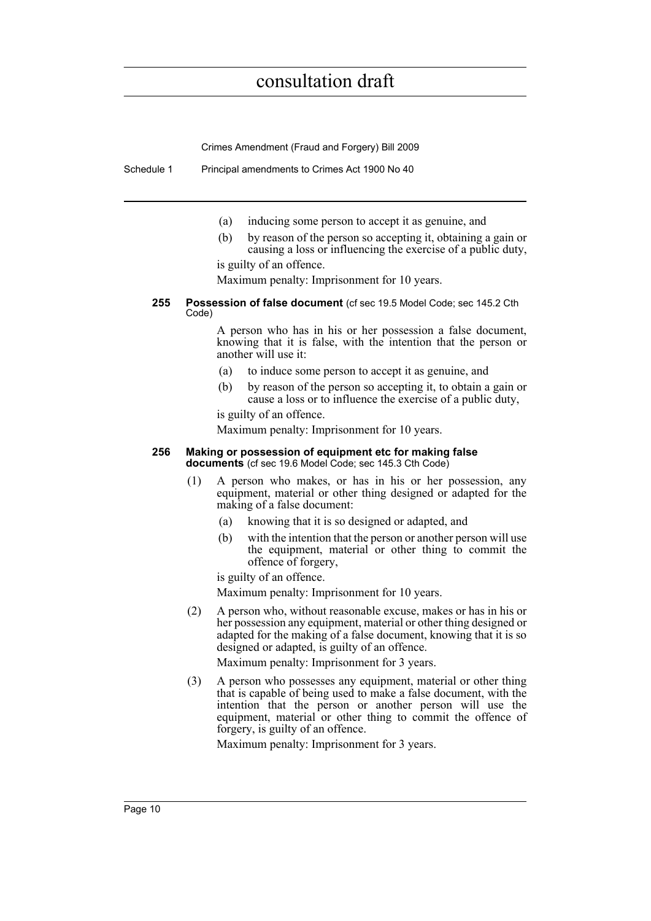Crimes Amendment (Fraud and Forgery) Bill 2009

Schedule 1 Principal amendments to Crimes Act 1900 No 40

- (a) inducing some person to accept it as genuine, and
- (b) by reason of the person so accepting it, obtaining a gain or causing a loss or influencing the exercise of a public duty, is guilty of an offence.

Maximum penalty: Imprisonment for 10 years.

#### **255 Possession of false document** (cf sec 19.5 Model Code; sec 145.2 Cth Code)

A person who has in his or her possession a false document, knowing that it is false, with the intention that the person or another will use it:

- (a) to induce some person to accept it as genuine, and
- (b) by reason of the person so accepting it, to obtain a gain or cause a loss or to influence the exercise of a public duty,

is guilty of an offence.

Maximum penalty: Imprisonment for 10 years.

#### **256 Making or possession of equipment etc for making false documents** (cf sec 19.6 Model Code; sec 145.3 Cth Code)

- (1) A person who makes, or has in his or her possession, any equipment, material or other thing designed or adapted for the making of a false document:
	- (a) knowing that it is so designed or adapted, and
	- (b) with the intention that the person or another person will use the equipment, material or other thing to commit the offence of forgery,

is guilty of an offence.

Maximum penalty: Imprisonment for 10 years.

- (2) A person who, without reasonable excuse, makes or has in his or her possession any equipment, material or other thing designed or adapted for the making of a false document, knowing that it is so designed or adapted, is guilty of an offence. Maximum penalty: Imprisonment for 3 years.
- (3) A person who possesses any equipment, material or other thing that is capable of being used to make a false document, with the intention that the person or another person will use the equipment, material or other thing to commit the offence of forgery, is guilty of an offence.

Maximum penalty: Imprisonment for 3 years.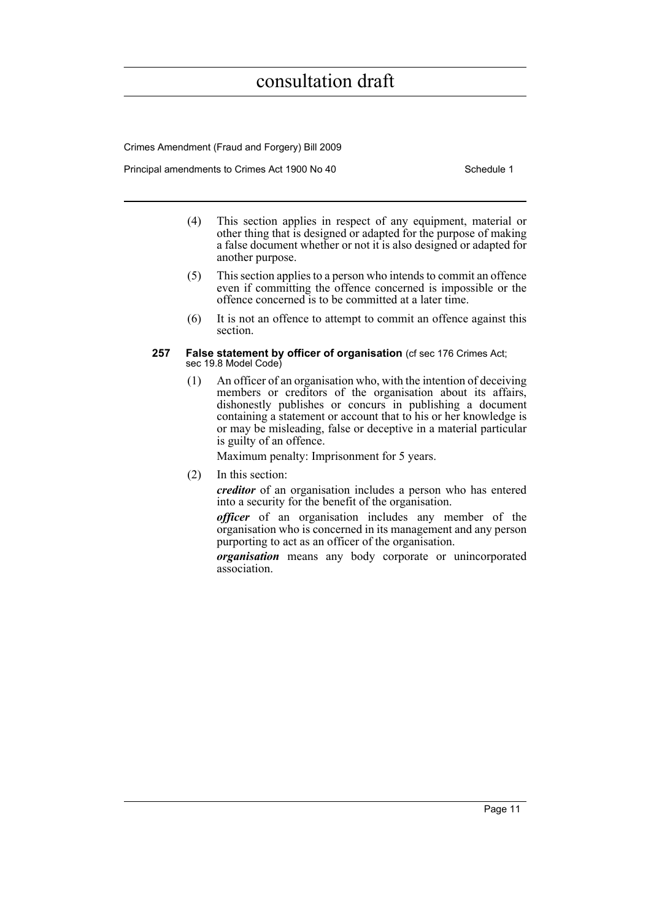Crimes Amendment (Fraud and Forgery) Bill 2009

Principal amendments to Crimes Act 1900 No 40 Schedule 1

- (4) This section applies in respect of any equipment, material or other thing that is designed or adapted for the purpose of making a false document whether or not it is also designed or adapted for another purpose.
- (5) This section applies to a person who intends to commit an offence even if committing the offence concerned is impossible or the offence concerned is to be committed at a later time.
- (6) It is not an offence to attempt to commit an offence against this section.

#### **257 False statement by officer of organisation** (cf sec 176 Crimes Act; sec 19.8 Model Code)

(1) An officer of an organisation who, with the intention of deceiving members or creditors of the organisation about its affairs, dishonestly publishes or concurs in publishing a document containing a statement or account that to his or her knowledge is or may be misleading, false or deceptive in a material particular is guilty of an offence.

Maximum penalty: Imprisonment for 5 years.

(2) In this section:

*creditor* of an organisation includes a person who has entered into a security for the benefit of the organisation.

*officer* of an organisation includes any member of the organisation who is concerned in its management and any person purporting to act as an officer of the organisation.

*organisation* means any body corporate or unincorporated association.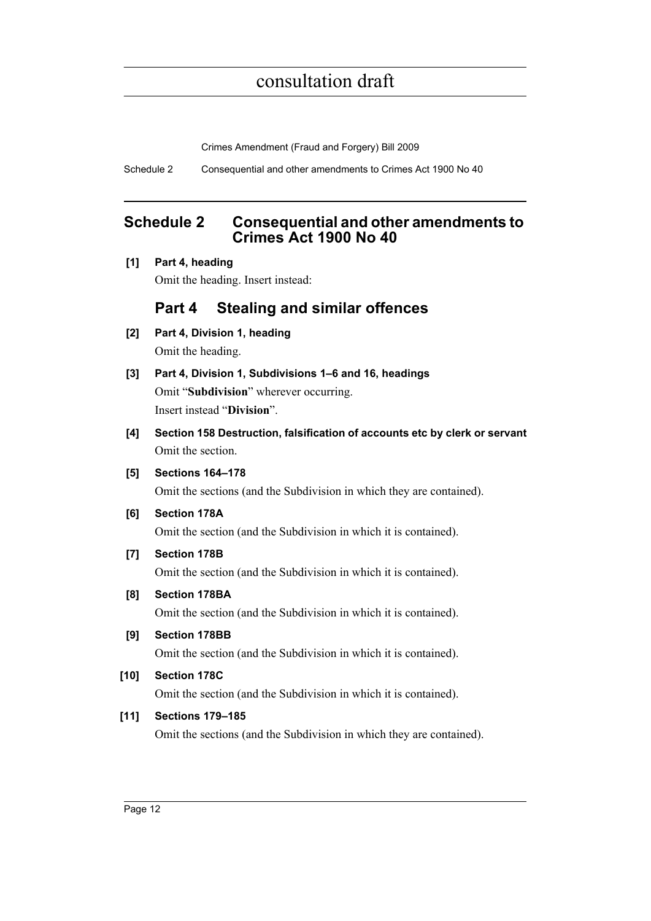Crimes Amendment (Fraud and Forgery) Bill 2009

Schedule 2 Consequential and other amendments to Crimes Act 1900 No 40

### <span id="page-15-0"></span>**Schedule 2 Consequential and other amendments to Crimes Act 1900 No 40**

**[1] Part 4, heading**

Omit the heading. Insert instead:

### **Part 4 Stealing and similar offences**

- **[2] Part 4, Division 1, heading** Omit the heading.
- **[3] Part 4, Division 1, Subdivisions 1–6 and 16, headings** Omit "**Subdivision**" wherever occurring. Insert instead "**Division**".
- **[4] Section 158 Destruction, falsification of accounts etc by clerk or servant** Omit the section.
- **[5] Sections 164–178**

Omit the sections (and the Subdivision in which they are contained).

**[6] Section 178A**

Omit the section (and the Subdivision in which it is contained).

**[7] Section 178B**

Omit the section (and the Subdivision in which it is contained).

**[8] Section 178BA**

Omit the section (and the Subdivision in which it is contained).

**[9] Section 178BB**

Omit the section (and the Subdivision in which it is contained).

**[10] Section 178C**

Omit the section (and the Subdivision in which it is contained).

### **[11] Sections 179–185**

Omit the sections (and the Subdivision in which they are contained).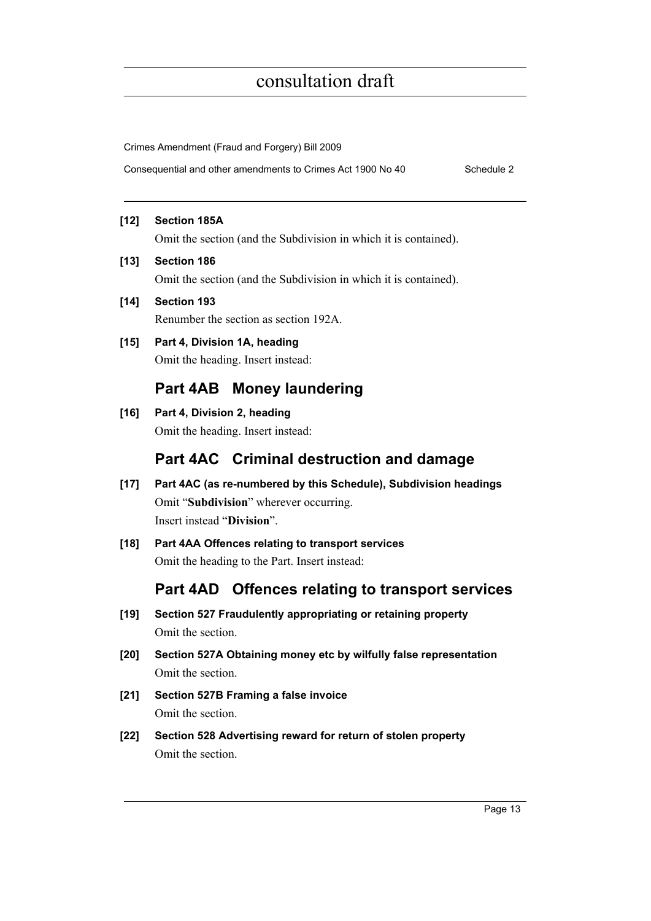Crimes Amendment (Fraud and Forgery) Bill 2009

Consequential and other amendments to Crimes Act 1900 No 40 Schedule 2

### **[12] Section 185A**

Omit the section (and the Subdivision in which it is contained).

- **[13] Section 186** Omit the section (and the Subdivision in which it is contained).
- **[14] Section 193** Renumber the section as section 192A.
- **[15] Part 4, Division 1A, heading** Omit the heading. Insert instead:

### **Part 4AB Money laundering**

**[16] Part 4, Division 2, heading**

Omit the heading. Insert instead:

### **Part 4AC Criminal destruction and damage**

- **[17] Part 4AC (as re-numbered by this Schedule), Subdivision headings** Omit "**Subdivision**" wherever occurring. Insert instead "**Division**".
- **[18] Part 4AA Offences relating to transport services** Omit the heading to the Part. Insert instead:

### **Part 4AD Offences relating to transport services**

- **[19] Section 527 Fraudulently appropriating or retaining property** Omit the section.
- **[20] Section 527A Obtaining money etc by wilfully false representation** Omit the section.
- **[21] Section 527B Framing a false invoice** Omit the section.
- **[22] Section 528 Advertising reward for return of stolen property** Omit the section.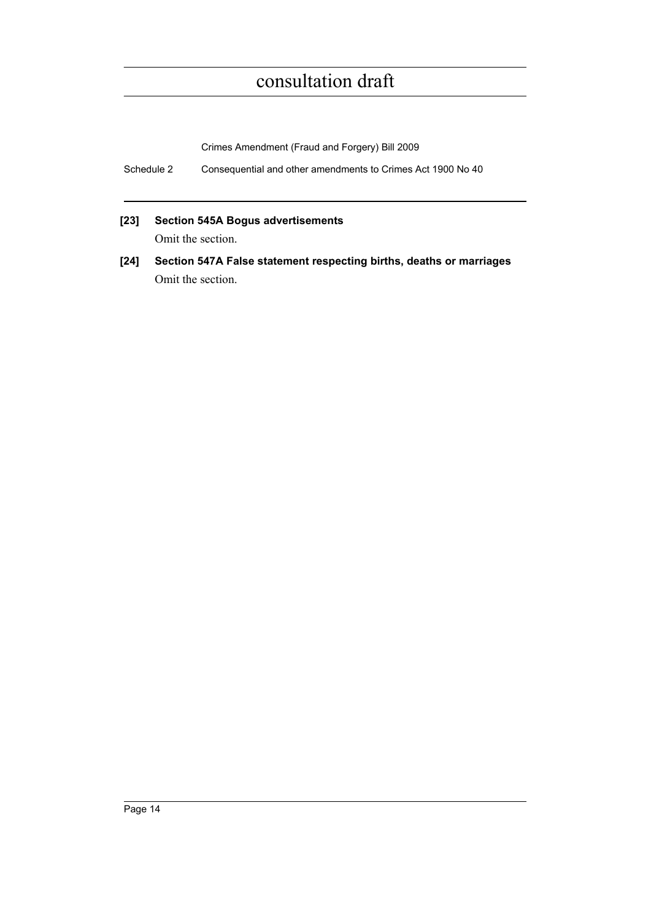Crimes Amendment (Fraud and Forgery) Bill 2009

Schedule 2 Consequential and other amendments to Crimes Act 1900 No 40

**[23] Section 545A Bogus advertisements**

Omit the section.

**[24] Section 547A False statement respecting births, deaths or marriages** Omit the section.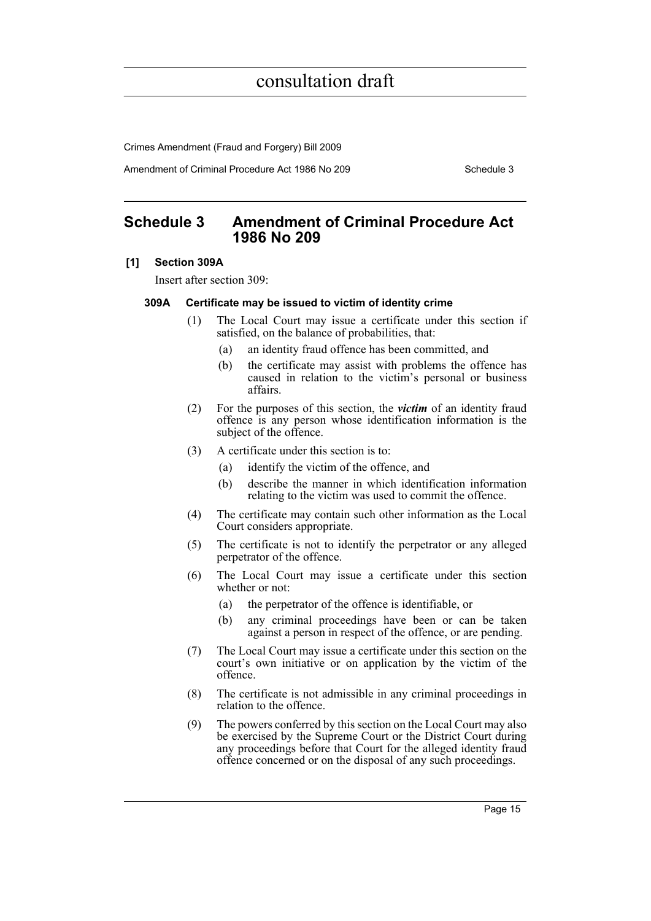Crimes Amendment (Fraud and Forgery) Bill 2009

Amendment of Criminal Procedure Act 1986 No 209

### <span id="page-18-0"></span>**Schedule 3 Amendment of Criminal Procedure Act 1986 No 209**

#### **[1] Section 309A**

Insert after section 309:

#### **309A Certificate may be issued to victim of identity crime**

- (1) The Local Court may issue a certificate under this section if satisfied, on the balance of probabilities, that:
	- (a) an identity fraud offence has been committed, and
	- (b) the certificate may assist with problems the offence has caused in relation to the victim's personal or business affairs.
- (2) For the purposes of this section, the *victim* of an identity fraud offence is any person whose identification information is the subject of the offence.
- (3) A certificate under this section is to:
	- (a) identify the victim of the offence, and
	- (b) describe the manner in which identification information relating to the victim was used to commit the offence.
- (4) The certificate may contain such other information as the Local Court considers appropriate.
- (5) The certificate is not to identify the perpetrator or any alleged perpetrator of the offence.
- (6) The Local Court may issue a certificate under this section whether or not:
	- (a) the perpetrator of the offence is identifiable, or
	- (b) any criminal proceedings have been or can be taken against a person in respect of the offence, or are pending.
- (7) The Local Court may issue a certificate under this section on the court's own initiative or on application by the victim of the offence.
- (8) The certificate is not admissible in any criminal proceedings in relation to the offence.
- (9) The powers conferred by this section on the Local Court may also be exercised by the Supreme Court or the District Court during any proceedings before that Court for the alleged identity fraud offence concerned or on the disposal of any such proceedings.